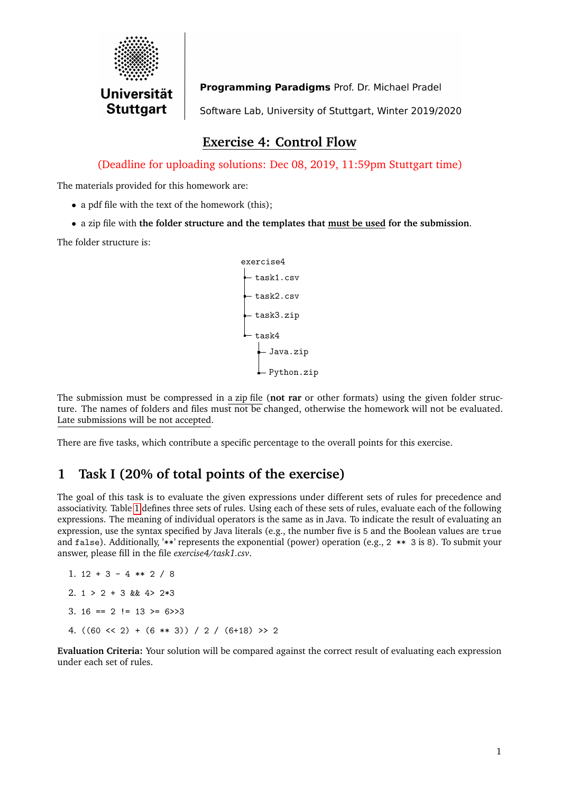

Programming Paradigms Prof. Dr. Michael Pradel Software Lab, University of Stuttgart, Winter 2019/2020

### **Exercise 4: Control Flow**

(Deadline for uploading solutions: Dec 08, 2019, 11:59pm Stuttgart time)

The materials provided for this homework are:

- a pdf file with the text of the homework (this);
- a zip file with **the folder structure and the templates that must be used for the submission**.

The folder structure is:

exercise4 task1.csv task2.csv task3.zip task4 Java.zip Python.zip

The submission must be compressed in a zip file (**not rar** or other formats) using the given folder structure. The names of folders and files must not be changed, otherwise the homework will not be evaluated. Late submissions will be not accepted.

There are five tasks, which contribute a specific percentage to the overall points for this exercise.

# **1 Task I (20% of total points of the exercise)**

The goal of this task is to evaluate the given expressions under different sets of rules for precedence and associativity. Table [1](#page-1-0) defines three sets of rules. Using each of these sets of rules, evaluate each of the following expressions. The meaning of individual operators is the same as in Java. To indicate the result of evaluating an expression, use the syntax specified by Java literals (e.g., the number five is 5 and the Boolean values are true and false). Additionally, '\*\*' represents the exponential (power) operation (e.g., 2 \*\* 3 is 8). To submit your answer, please fill in the file *exercise4/task1.csv*.

```
1. 12 + 3 - 4 ** 2 / 8
2. 1 > 2 + 3 & 4 > 2*33. 16 == 2 != 13 >= 6>>3
4. ((60 \le 2) + (6 \le 3)) / 2 / (6 + 18) >> 2
```
**Evaluation Criteria:** Your solution will be compared against the correct result of evaluating each expression under each set of rules.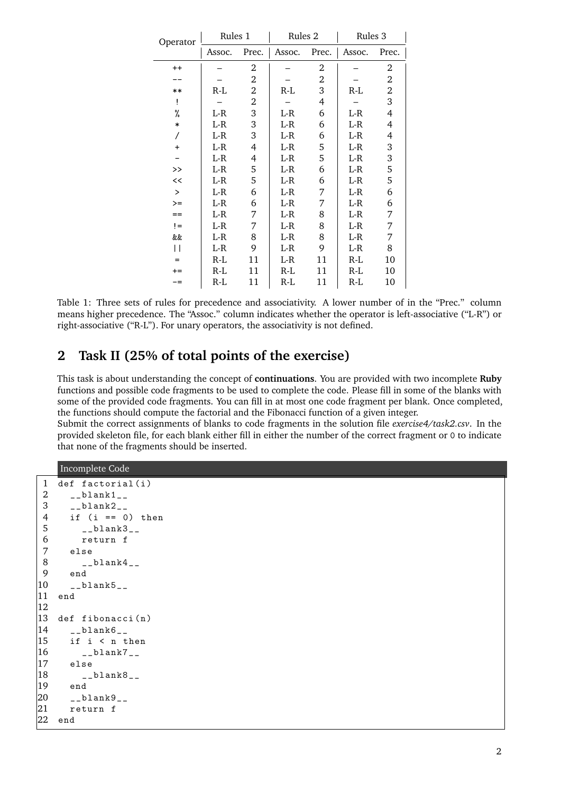<span id="page-1-0"></span>

| Operator      | Rules 1 |       | Rules <sub>2</sub> |    | Rules 3      |                  |
|---------------|---------|-------|--------------------|----|--------------|------------------|
|               | Assoc.  | Prec. | Assoc. Prec.       |    | Assoc. Prec. |                  |
| $^{++}$       |         | 2     |                    | 2  |              | 2                |
|               |         | 2     |                    | 2  |              | $\boldsymbol{2}$ |
| $***$         | R-L     | 2     | R-L                | 3  | R-L          | $\overline{2}$   |
| Ţ             |         | 2     |                    | 4  |              | 3                |
| %             | L-R     | 3     | L-R                | 6  | $L-R$        | $\overline{4}$   |
| $\ast$        | $L-R$   | 3     | $L-R$              | 6  | $L-R$        | 4                |
| Τ             | L-R     | 3     | L-R                | 6  | L-R          | 4                |
| $\ddot{}$     | $L-R$   | 4     | $L-R$              | 5  | $L-R$        | 3                |
|               | L-R     | 4     | L-R                | 5  | L-R          | $\,$ 3 $\,$      |
| $\rightarrow$ | $L-R$   | 5     | $L-R$              | 6  | $L-R$        | 5                |
| <<            | L-R     | 5     | $L-R$              | 6  | $L-R$        | 5                |
| $\geq$        | $L-R$   | 6     | $L-R$              | 7  | L-R          | 6                |
| $>=$          | L-R     | 6     | $L-R$              | 7  | L-R          | 6                |
| $==$          | $L-R$   | 7     | L-R                | 8  | $L-R$        | 7                |
| $l =$         | L-R     | 7     | $L-R$              | 8  | $L-R$        | 7                |
| &&            | L-R     | 8     | $L-R$              | 8  | L-R          | 7                |
| П             | L-R     | 9     | L-R                | 9  | L-R          | 8                |
| $=$           | $R-L$   | 11    | $L-R$              | 11 | R-L          | 10               |
| $+=$          | $R-L$   | 11    | R-L                | 11 | R-L          | 10               |
| -=            | R-L     | 11    | $R-L$              | 11 | R-L          | 10               |

Table 1: Three sets of rules for precedence and associativity. A lower number of in the "Prec." column means higher precedence. The "Assoc." column indicates whether the operator is left-associative ("L-R") or right-associative ("R-L"). For unary operators, the associativity is not defined.

#### **2 Task II (25% of total points of the exercise)**

This task is about understanding the concept of **continuations**. You are provided with two incomplete **Ruby** functions and possible code fragments to be used to complete the code. Please fill in some of the blanks with some of the provided code fragments. You can fill in at most one code fragment per blank. Once completed, the functions should compute the factorial and the Fibonacci function of a given integer.

Submit the correct assignments of blanks to code fragments in the solution file *exercise4/task2.csv*. In the provided skeleton file, for each blank either fill in either the number of the correct fragment or 0 to indicate that none of the fragments should be inserted.

Incomplete Code

```
1 def factorial (i)2 -Lblank1-L3 - 20lank2 - 24 if (i == 0) then
5 __blank3__
6 return f
    else
8 -Lblank4-L9 end
10 __blank5__
11 end
12
13 def fibonacci(n)14 __blank6__
15 if i < n then
|16 __blank7__
17 else
|18 -blank8-19 end
|20 \t -101ank921 return f
22 end
```